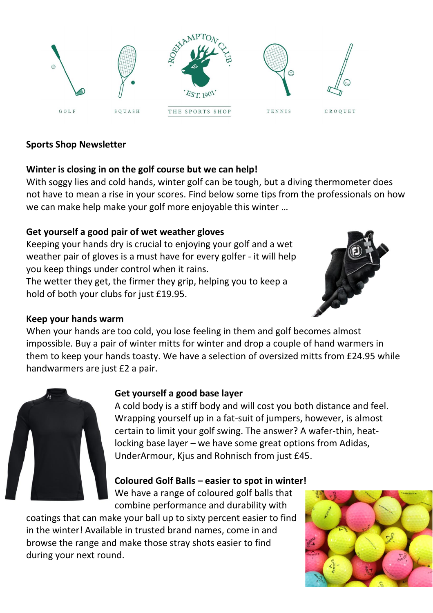

## **Sports Shop Newsletter**

## **Winter is closing in on the golf course but we can help!**

With soggy lies and cold hands, winter golf can be tough, but a diving thermometer does not have to mean a rise in your scores. Find below some tips from the professionals on how we can make help make your golf more enjoyable this winter …

## **Get yourself a good pair of wet weather gloves**

Keeping your hands dry is crucial to enjoying your golf and a wet weather pair of gloves is a must have for every golfer - it will help you keep things under control when it rains.

The wetter they get, the firmer they grip, helping you to keep a hold of both your clubs for just £19.95.



## **Keep your hands warm**

When your hands are too cold, you lose feeling in them and golf becomes almost impossible. Buy a pair of winter mitts for winter and drop a couple of hand warmers in them to keep your hands toasty. We have a selection of oversized mitts from £24.95 while handwarmers are just £2 a pair.



# **Get yourself a good base layer**

A cold body is a stiff body and will cost you both distance and feel. Wrapping yourself up in a fat-suit of jumpers, however, is almost certain to limit your golf swing. The answer? A wafer-thin, heatlocking base layer – we have some great options from Adidas, UnderArmour, Kjus and Rohnisch from just £45.

# **Coloured Golf Balls – easier to spot in winter!**

We have a range of coloured golf balls that combine performance and durability with

coatings that can make your ball up to sixty percent easier to find in the winter! Available in trusted brand names, come in and browse the range and make those stray shots easier to find during your next round.

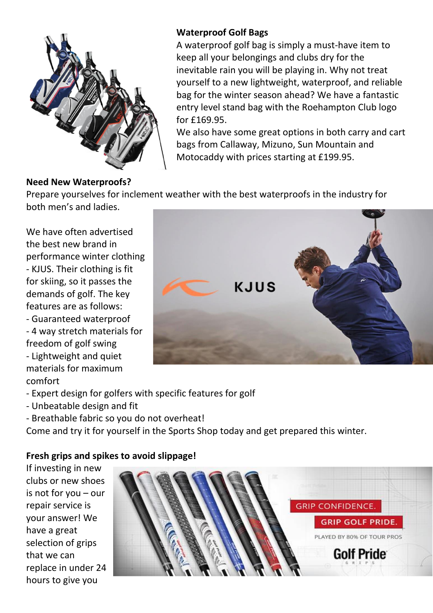

## **Waterproof Golf Bags**

A waterproof golf bag is simply a must-have item to keep all your belongings and clubs dry for the inevitable rain you will be playing in. Why not treat yourself to a new lightweight, waterproof, and reliable bag for the winter season ahead? We have a fantastic entry level stand bag with the Roehampton Club logo for £169.95.

We also have some great options in both carry and cart bags from Callaway, Mizuno, Sun Mountain and Motocaddy with prices starting at £199.95.

#### **Need New Waterproofs?**

Prepare yourselves for inclement weather with the best waterproofs in the industry for both men's and ladies.

We have often advertised the best new brand in performance winter clothing - KJUS. Their clothing is fit for skiing, so it passes the demands of golf. The key features are as follows: - Guaranteed waterproof

- 4 way stretch materials for freedom of golf swing - Lightweight and quiet materials for maximum comfort



- Expert design for golfers with specific features for golf
- Unbeatable design and fit
- Breathable fabric so you do not overheat!

Come and try it for yourself in the Sports Shop today and get prepared this winter.

#### **Fresh grips and spikes to avoid slippage!**

If investing in new clubs or new shoes is not for you – our repair service is your answer! We have a great selection of grips that we can replace in under 24 hours to give you

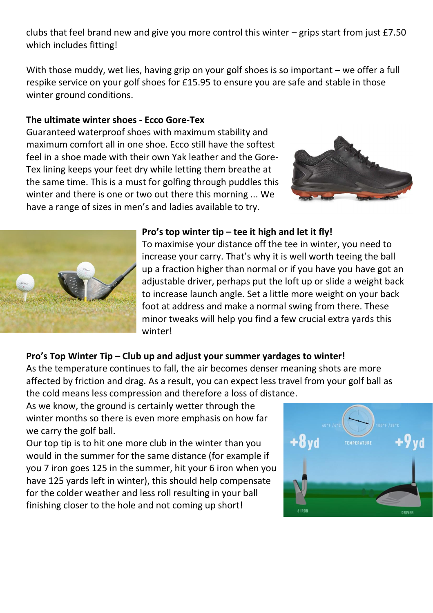clubs that feel brand new and give you more control this winter – grips start from just £7.50 which includes fitting!

With those muddy, wet lies, having grip on your golf shoes is so important – we offer a full respike service on your golf shoes for £15.95 to ensure you are safe and stable in those winter ground conditions.

## **The ultimate winter shoes - Ecco Gore-Tex**

Guaranteed waterproof shoes with maximum stability and maximum comfort all in one shoe. Ecco still have the softest feel in a shoe made with their own Yak leather and the Gore-Tex lining keeps your feet dry while letting them breathe at the same time. This is a must for golfing through puddles this winter and there is one or two out there this morning ... We have a range of sizes in men's and ladies available to try.





#### **Pro's top winter tip – tee it high and let it fly!**

To maximise your distance off the tee in winter, you need to increase your carry. That's why it is well worth teeing the ball up a fraction higher than normal or if you have you have got an adjustable driver, perhaps put the loft up or slide a weight back to increase launch angle. Set a little more weight on your back foot at address and make a normal swing from there. These minor tweaks will help you find a few crucial extra yards this winter!

## **Pro's Top Winter Tip – Club up and adjust your summer yardages to winter!**

As the temperature continues to fall, the air becomes denser meaning shots are more affected by friction and drag. As a result, you can expect less travel from your golf ball as the cold means less compression and therefore a loss of distance.

As we know, the ground is certainly wetter through the winter months so there is even more emphasis on how far we carry the golf ball.

Our top tip is to hit one more club in the winter than you would in the summer for the same distance (for example if you 7 iron goes 125 in the summer, hit your 6 iron when you have 125 yards left in winter), this should help compensate for the colder weather and less roll resulting in your ball finishing closer to the hole and not coming up short!